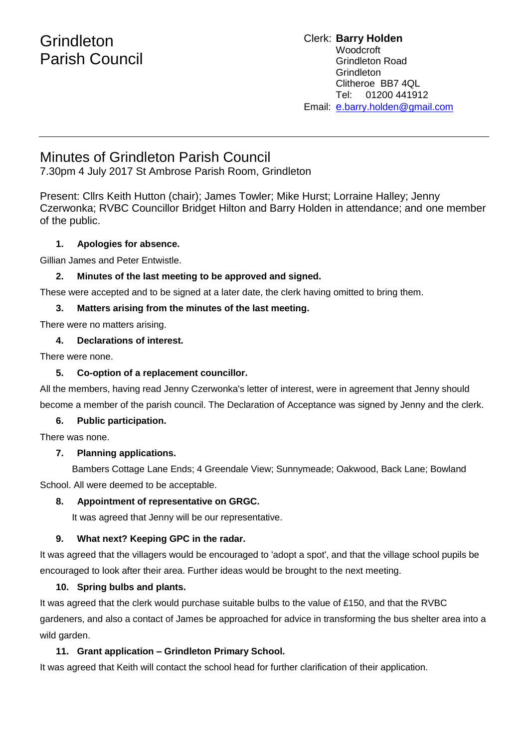# **Grindleton** Parish Council

#### Clerk: **Barry Holden** Woodcroft Grindleton Road **Grindleton** Clitheroe BB7 4QL Tel: 01200 441912 Email: [e](mailto:edwardbholden@yahoo.co.uk).barry.holden@gmail.com

## Minutes of Grindleton Parish Council

7.30pm 4 July 2017 St Ambrose Parish Room, Grindleton

Present: Cllrs Keith Hutton (chair); James Towler; Mike Hurst; Lorraine Halley; Jenny Czerwonka; RVBC Councillor Bridget Hilton and Barry Holden in attendance; and one member of the public.

## **1. Apologies for absence.**

Gillian James and Peter Entwistle.

## **2. Minutes of the last meeting to be approved and signed.**

These were accepted and to be signed at a later date, the clerk having omitted to bring them.

## **3. Matters arising from the minutes of the last meeting.**

There were no matters arising.

## **4. Declarations of interest.**

There were none.

## **5. Co-option of a replacement councillor.**

All the members, having read Jenny Czerwonka's letter of interest, were in agreement that Jenny should become a member of the parish council. The Declaration of Acceptance was signed by Jenny and the clerk.

## **6. Public participation.**

There was none.

## **7. Planning applications.**

Bambers Cottage Lane Ends; 4 Greendale View; Sunnymeade; Oakwood, Back Lane; Bowland School. All were deemed to be acceptable.

## **8. Appointment of representative on GRGC.**

It was agreed that Jenny will be our representative.

## **9. What next? Keeping GPC in the radar.**

It was agreed that the villagers would be encouraged to 'adopt a spot', and that the village school pupils be encouraged to look after their area. Further ideas would be brought to the next meeting.

## **10. Spring bulbs and plants.**

It was agreed that the clerk would purchase suitable bulbs to the value of £150, and that the RVBC gardeners, and also a contact of James be approached for advice in transforming the bus shelter area into a wild garden.

## **11. Grant application – Grindleton Primary School.**

It was agreed that Keith will contact the school head for further clarification of their application.